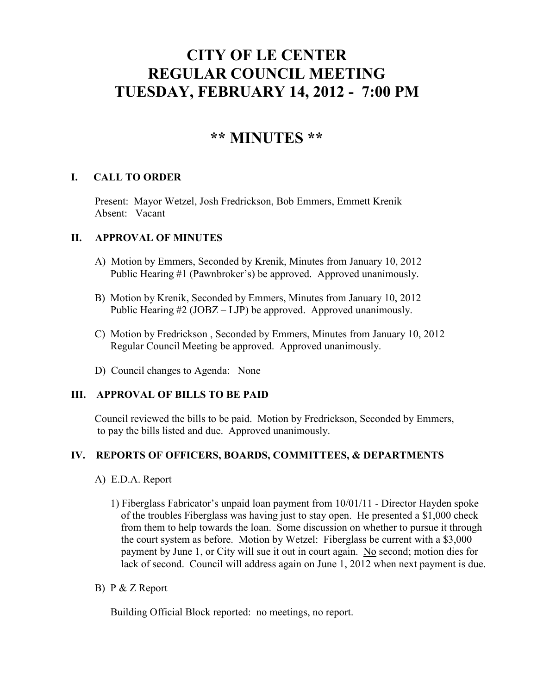# **CITY OF LE CENTER REGULAR COUNCIL MEETING TUESDAY, FEBRUARY 14, 2012 - 7:00 PM**

## **\*\* MINUTES \*\***

## **I. CALL TO ORDER**

Present: Mayor Wetzel, Josh Fredrickson, Bob Emmers, Emmett Krenik Absent: Vacant

## **II. APPROVAL OF MINUTES**

- A) Motion by Emmers, Seconded by Krenik, Minutes from January 10, 2012 Public Hearing #1 (Pawnbroker's) be approved. Approved unanimously.
- B) Motion by Krenik, Seconded by Emmers, Minutes from January 10, 2012 Public Hearing #2 (JOBZ – LJP) be approved. Approved unanimously.
- C) Motion by Fredrickson , Seconded by Emmers, Minutes from January 10, 2012 Regular Council Meeting be approved. Approved unanimously.
- D) Council changes to Agenda: None

## **III. APPROVAL OF BILLS TO BE PAID**

Council reviewed the bills to be paid. Motion by Fredrickson, Seconded by Emmers, to pay the bills listed and due. Approved unanimously.

## **IV. REPORTS OF OFFICERS, BOARDS, COMMITTEES, & DEPARTMENTS**

- A) E.D.A. Report
	- 1) Fiberglass Fabricator's unpaid loan payment from 10/01/11 Director Hayden spoke of the troubles Fiberglass was having just to stay open. He presented a \$1,000 check from them to help towards the loan. Some discussion on whether to pursue it through the court system as before. Motion by Wetzel: Fiberglass be current with a \$3,000 payment by June 1, or City will sue it out in court again. No second; motion dies for lack of second. Council will address again on June 1, 2012 when next payment is due.
- B) P & Z Report

Building Official Block reported: no meetings, no report.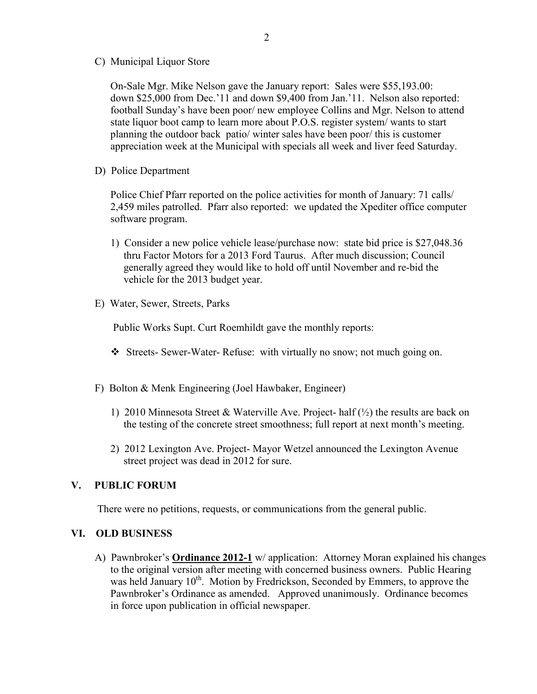C) Municipal Liquor Store

On-Sale Mgr. Mike Nelson gave the January report: Sales were \$55,193.00: down \$25,000 from Dec.'11 and down \$9,400 from Jan.'11. Nelson also reported: football Sunday's have been poor/ new employee Collins and Mgr. Nelson to attend state liquor boot camp to learn more about P.O.S. register system/ wants to start planning the outdoor back patio/ winter sales have been poor/ this is customer appreciation week at the Municipal with specials all week and liver feed Saturday.

D) Police Department

Police Chief Pfarr reported on the police activities for month of January: 71 calls/ 2,459 miles patrolled. Pfarr also reported: we updated the Xpediter office computer software program.

- 1) Consider a new police vehicle lease/purchase now: state bid price is \$27,048.36 thru Factor Motors for a 2013 Ford Taurus. After much discussion; Council generally agreed they would like to hold off until November and re-bid the vehicle for the 2013 budget year.
- E) Water, Sewer, Streets, Parks

Public Works Supt. Curt Roemhildt gave the monthly reports:

- Streets- Sewer-Water- Refuse: with virtually no snow; not much going on.
- F) Bolton & Menk Engineering (Joel Hawbaker, Engineer)
	- 1) 2010 Minnesota Street & Waterville Ave. Project- half  $(\frac{1}{2})$  the results are back on the testing of the concrete street smoothness; full report at next month's meeting.
	- 2) 2012 Lexington Ave. Project- Mayor Wetzel announced the Lexington Avenue street project was dead in 2012 for sure.

#### **V. PUBLIC FORUM**

There were no petitions, requests, or communications from the general public.

#### **VI. OLD BUSINESS**

 A) Pawnbroker's **Ordinance 2012-1** w/ application: Attorney Moran explained his changes to the original version after meeting with concerned business owners. Public Hearing was held January 10<sup>th</sup>. Motion by Fredrickson, Seconded by Emmers, to approve the Pawnbroker's Ordinance as amended. Approved unanimously. Ordinance becomes in force upon publication in official newspaper.